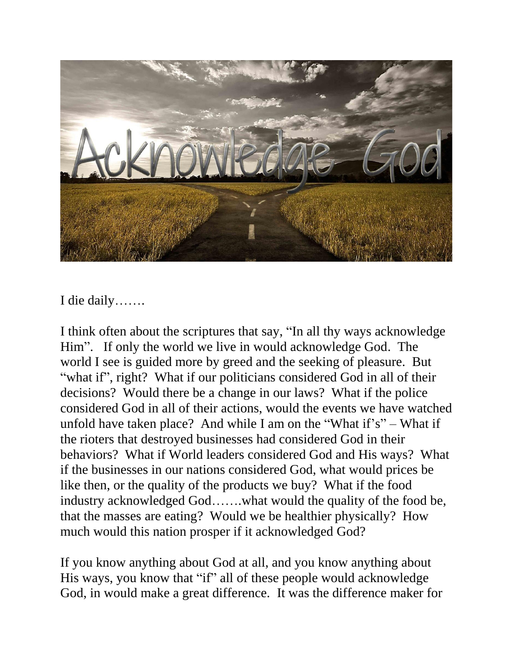

I die daily…….

I think often about the scriptures that say, "In all thy ways acknowledge Him". If only the world we live in would acknowledge God. The world I see is guided more by greed and the seeking of pleasure. But "what if", right? What if our politicians considered God in all of their decisions? Would there be a change in our laws? What if the police considered God in all of their actions, would the events we have watched unfold have taken place? And while I am on the "What if's" – What if the rioters that destroyed businesses had considered God in their behaviors? What if World leaders considered God and His ways? What if the businesses in our nations considered God, what would prices be like then, or the quality of the products we buy? What if the food industry acknowledged God…….what would the quality of the food be, that the masses are eating? Would we be healthier physically? How much would this nation prosper if it acknowledged God?

If you know anything about God at all, and you know anything about His ways, you know that "if" all of these people would acknowledge God, in would make a great difference. It was the difference maker for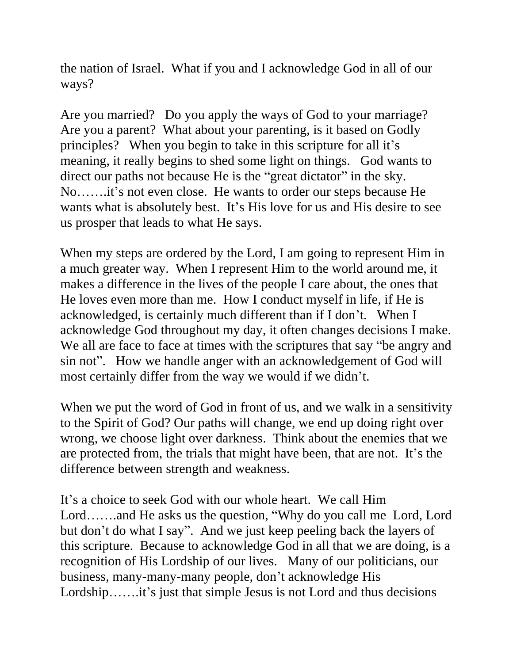the nation of Israel. What if you and I acknowledge God in all of our ways?

Are you married? Do you apply the ways of God to your marriage? Are you a parent? What about your parenting, is it based on Godly principles? When you begin to take in this scripture for all it's meaning, it really begins to shed some light on things. God wants to direct our paths not because He is the "great dictator" in the sky. No…….it's not even close. He wants to order our steps because He wants what is absolutely best. It's His love for us and His desire to see us prosper that leads to what He says.

When my steps are ordered by the Lord, I am going to represent Him in a much greater way. When I represent Him to the world around me, it makes a difference in the lives of the people I care about, the ones that He loves even more than me. How I conduct myself in life, if He is acknowledged, is certainly much different than if I don't. When I acknowledge God throughout my day, it often changes decisions I make. We all are face to face at times with the scriptures that say "be angry and sin not". How we handle anger with an acknowledgement of God will most certainly differ from the way we would if we didn't.

When we put the word of God in front of us, and we walk in a sensitivity to the Spirit of God? Our paths will change, we end up doing right over wrong, we choose light over darkness. Think about the enemies that we are protected from, the trials that might have been, that are not. It's the difference between strength and weakness.

It's a choice to seek God with our whole heart. We call Him Lord…….and He asks us the question, "Why do you call me Lord, Lord but don't do what I say". And we just keep peeling back the layers of this scripture. Because to acknowledge God in all that we are doing, is a recognition of His Lordship of our lives. Many of our politicians, our business, many-many-many people, don't acknowledge His Lordship…….it's just that simple Jesus is not Lord and thus decisions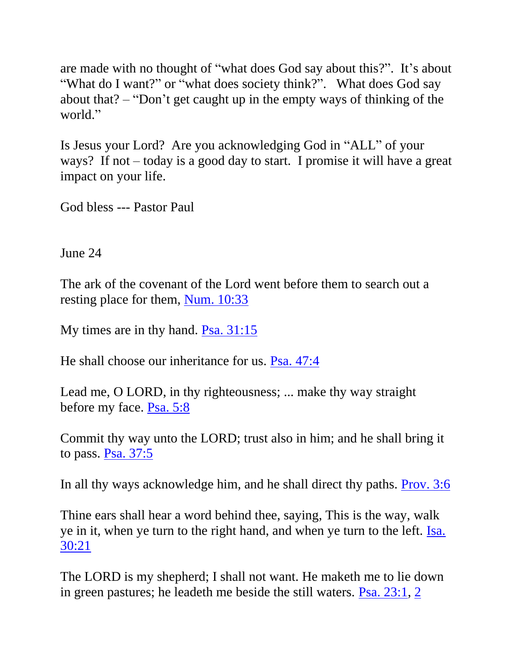are made with no thought of "what does God say about this?". It's about "What do I want?" or "what does society think?". What does God say about that? – "Don't get caught up in the empty ways of thinking of the world."

Is Jesus your Lord? Are you acknowledging God in "ALL" of your ways? If not – today is a good day to start. I promise it will have a great impact on your life.

God bless --- Pastor Paul

June 24

The ark of the covenant of the Lord went before them to search out a resting place for them, [Num. 10:33](https://biblia.com/bible/nkjv/Num.%2010.33)

My times are in thy hand. [Psa. 31:15](https://biblia.com/bible/nkjv/Ps.%2031.15)

He shall choose our inheritance for us. [Psa. 47:4](https://biblia.com/bible/nkjv/Ps.%2047.4)

Lead me, O LORD, in thy righteousness; ... make thy way straight before my face. [Psa. 5:8](https://biblia.com/bible/nkjv/Ps.%205.8)

Commit thy way unto the LORD; trust also in him; and he shall bring it to pass. [Psa. 37:5](https://biblia.com/bible/nkjv/Ps.%2037.5)

In all thy ways acknowledge him, and he shall direct thy paths. [Prov. 3:6](https://biblia.com/bible/nkjv/Prov.%203.6)

Thine ears shall hear a word behind thee, saying, This is the way, walk ye in it, when ye turn to the right hand, and when ye turn to the left. [Isa.](https://biblia.com/bible/nkjv/Isa.%2030.21)  [30:21](https://biblia.com/bible/nkjv/Isa.%2030.21)

The LORD is my shepherd; I shall not want. He maketh me to lie down in green pastures; he leadeth me beside the still waters. [Psa. 23:1,](https://biblia.com/bible/nkjv/Ps.%2023.1) [2](https://biblia.com/bible/nkjv/Psa%2023.2)